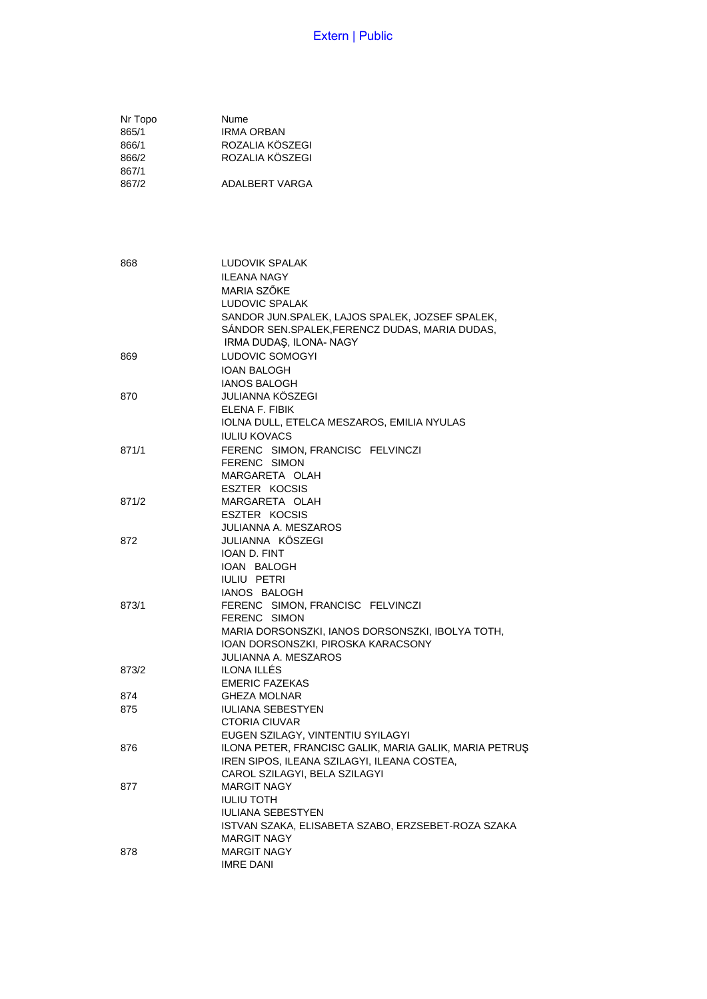| Nr Topo | Nume              |
|---------|-------------------|
| 865/1   | <b>IRMA ORBAN</b> |
| 866/1   | ROZALIA KÖSZEGI   |
| 866/2   | ROZALIA KÖSZEGI   |
| 867/1   |                   |
| 867/2   | ADALBERT VARGA    |

868 LUDOVIK SPALAK ILEANA NAGY MARIA SZŐKE LUDOVIC SPALAK SANDOR JUN.SPALEK, LAJOS SPALEK, JOZSEF SPALEK, SÁNDOR SEN.SPALEK,FERENCZ DUDAS, MARIA DUDAS, IRMA DUDAŞ, ILONA- NAGY 869 LUDOVIC SOMOGYI IOAN BALOGH IANOS BALOGH 870 JULIANNA KÖSZEGI ELENA F. FIBIK IOLNA DULL, ETELCA MESZAROS, EMILIA NYULAS IULIU KOVACS 871/1 FERENC SIMON, FRANCISC FELVINCZI FERENC SIMON MARGARETA OLAH ESZTER KOCSIS 871/2 MARGARETA OLAH ESZTER KOCSIS JULIANNA A. MESZAROS 872 JULIANNA KÖSZEGI IOAN D. FINT IOAN BALOGH IULIU PETRI IANOS BALOGH 873/1 FERENC SIMON, FRANCISC FELVINCZI FERENC SIMON MARIA DORSONSZKI, IANOS DORSONSZKI, IBOLYA TOTH, IOAN DORSONSZKI, PIROSKA KARACSONY JULIANNA A. MESZAROS 873/2 ILONA ILLÉS EMERIC FAZEKAS 874 GHEZA MOLNAR 875 IULIANA SEBESTYEN CTORIA CIUVAR EUGEN SZILAGY, VINTENTIU SYILAGYI 876 ILONA PETER, FRANCISC GALIK, MARIA GALIK, MARIA PETRUŞ IREN SIPOS, ILEANA SZILAGYI, ILEANA COSTEA, CAROL SZILAGYI, BELA SZILAGYI 877 MARGIT NAGY IULIU TOTH IULIANA SEBESTYEN ISTVAN SZAKA, ELISABETA SZABO, ERZSEBET-ROZA SZAKA MARGIT NAGY 878 MARGIT NAGY IMRE DANI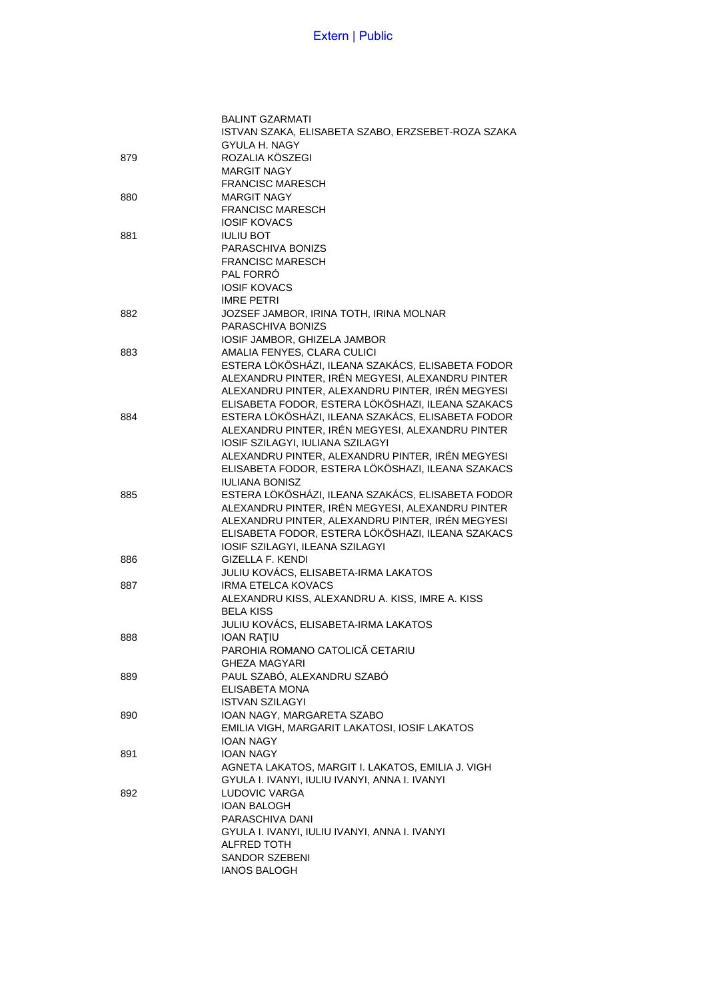|     | <b>BALINT GZARMATI</b>                             |
|-----|----------------------------------------------------|
|     | ISTVAN SZAKA, ELISABETA SZABO, ERZSEBET-ROZA SZAKA |
|     | GYULA H. NAGY                                      |
| 879 | ROZALIA KÖSZEGI                                    |
|     | <b>MARGIT NAGY</b>                                 |
|     | <b>FRANCISC MARESCH</b>                            |
| 880 | <b>MARGIT NAGY</b>                                 |
|     | <b>FRANCISC MARESCH</b>                            |
|     | <b>IOSIF KOVACS</b>                                |
|     |                                                    |
| 881 | <b>IULIU BOT</b>                                   |
|     | PARASCHIVA BONIZS                                  |
|     | <b>FRANCISC MARESCH</b>                            |
|     | PAL FORRÓ                                          |
|     | <b>IOSIF KOVACS</b>                                |
|     | <b>IMRE PETRI</b>                                  |
| 882 | JOZSEF JAMBOR, IRINA TOTH, IRINA MOLNAR            |
|     | PARASCHIVA BONIZS                                  |
|     | IOSIF JAMBOR, GHIZELA JAMBOR                       |
| 883 | AMALIA FENYES, CLARA CULICI                        |
|     | ESTERA LÖKÖSHÁZI, ILEANA SZAKÁCS, ELISABETA FODOR  |
|     | ALEXANDRU PINTER, IRÉN MEGYESI, ALEXANDRU PINTER   |
|     | ALEXANDRU PINTER, ALEXANDRU PINTER, IRÉN MEGYESI   |
|     | ELISABETA FODOR, ESTERA LÖKÖSHAZI, ILEANA SZAKACS  |
|     | ESTERA LÖKÖSHÁZI, ILEANA SZAKÁCS, ELISABETA FODOR  |
| 884 |                                                    |
|     | ALEXANDRU PINTER, IRÉN MEGYESI, ALEXANDRU PINTER   |
|     | IOSIF SZILAGYI, IULIANA SZILAGYI                   |
|     | ALEXANDRU PINTER, ALEXANDRU PINTER, IRÉN MEGYESI   |
|     | ELISABETA FODOR, ESTERA LÖKÖSHAZI, ILEANA SZAKACS  |
|     | <b>IULIANA BONISZ</b>                              |
| 885 | ESTERA LÖKÖSHÁZI, ILEANA SZAKÁCS, ELISABETA FODOR  |
|     | ALEXANDRU PINTER, IRÉN MEGYESI, ALEXANDRU PINTER   |
|     | ALEXANDRU PINTER, ALEXANDRU PINTER, IRÉN MEGYESI   |
|     | ELISABETA FODOR, ESTERA LÖKÖSHAZI, ILEANA SZAKACS  |
|     | IOSIF SZILAGYI, ILEANA SZILAGYI                    |
| 886 | <b>GIZELLA F. KENDI</b>                            |
|     | JULIU KOVÁCS, ELISABETA-IRMA LAKATOS               |
| 887 | <b>IRMA ETELCA KOVACS</b>                          |
|     | ALEXANDRU KISS, ALEXANDRU A. KISS, IMRE A. KISS    |
|     | <b>BELA KISS</b>                                   |
|     |                                                    |
|     | JULIU KOVÁCS, ELISABETA-IRMA LAKATOS               |
| 888 | <b>IOAN RATIU</b>                                  |
|     | PAROHIA ROMANO CATOLICĂ CETARIU                    |
|     | GHEZA MAGYARI                                      |
| 889 | PAUL SZABÓ, ALEXANDRU SZABÓ                        |
|     | ELISABETA MONA                                     |
|     | <b>ISTVAN SZILAGYI</b>                             |
| 890 | IOAN NAGY, MARGARETA SZABO                         |
|     | EMILIA VIGH, MARGARIT LAKATOSI, IOSIF LAKATOS      |
|     | <b>IOAN NAGY</b>                                   |
| 891 | <b>IOAN NAGY</b>                                   |
|     | AGNETA LAKATOS, MARGIT I. LAKATOS, EMILIA J. VIGH  |
|     | GYULA I. IVANYI, IULIU IVANYI, ANNA I. IVANYI      |
| 892 | LUDOVIC VARGA                                      |
|     | <b>IOAN BALOGH</b>                                 |
|     |                                                    |
|     | PARASCHIVA DANI                                    |
|     | GYULA I. IVANYI, IULIU IVANYI, ANNA I. IVANYI      |
|     | ALFRED TOTH                                        |
|     | SANDOR SZEBENI                                     |
|     | <b>IANOS BALOGH</b>                                |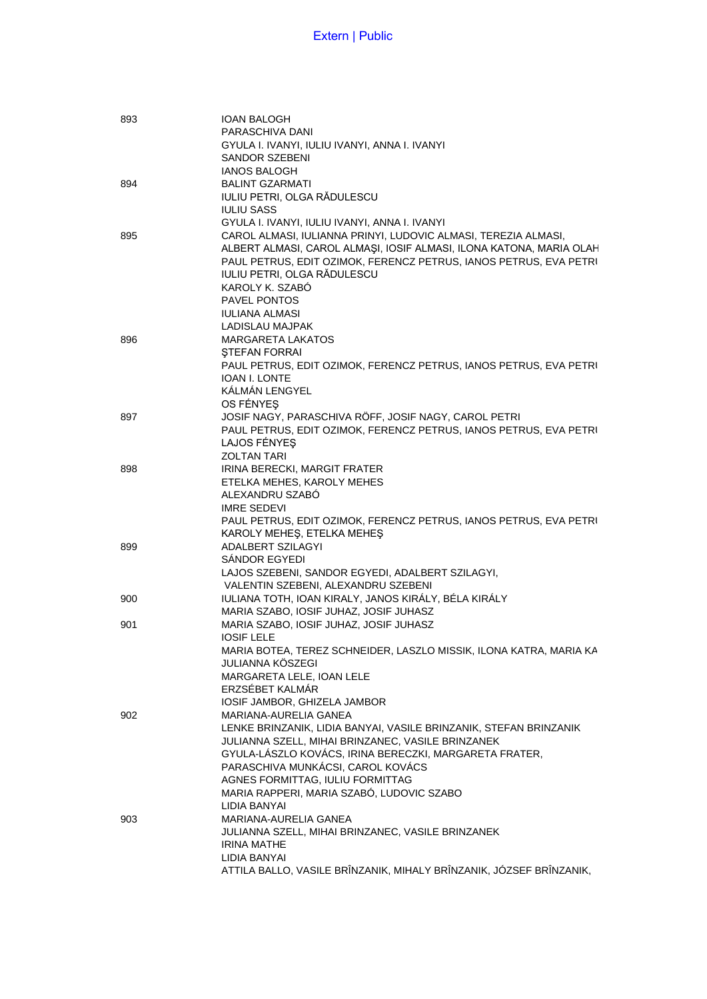| 893 | <b>IOAN BALOGH</b>                                                  |
|-----|---------------------------------------------------------------------|
|     | PARASCHIVA DANI                                                     |
|     | GYULA I. IVANYI, IULIU IVANYI, ANNA I. IVANYI                       |
|     | SANDOR SZEBENI                                                      |
|     | <b>IANOS BALOGH</b>                                                 |
| 894 | <b>BALINT GZARMATI</b>                                              |
|     | IULIU PETRI, OLGA RĂDULESCU                                         |
|     | <b>IULIU SASS</b>                                                   |
|     | GYULA I. IVANYI, IULIU IVANYI, ANNA I. IVANYI                       |
| 895 | CAROL ALMASI, IULIANNA PRINYI, LUDOVIC ALMASI, TEREZIA ALMASI,      |
|     | ALBERT ALMASI, CAROL ALMAŞI, IOSIF ALMASI, ILONA KATONA, MARIA OLAH |
|     | PAUL PETRUS, EDIT OZIMOK, FERENCZ PETRUS, IANOS PETRUS, EVA PETRI   |
|     | IULIU PETRI, OLGA RĂDULESCU                                         |
|     | KAROLY K. SZABÓ                                                     |
|     | <b>PAVEL PONTOS</b>                                                 |
|     | <b>IULIANA ALMASI</b>                                               |
|     | LADISLAU MAJPAK                                                     |
| 896 | <b>MARGARETA LAKATOS</b>                                            |
|     | <b>STEFAN FORRAI</b>                                                |
|     | PAUL PETRUS, EDIT OZIMOK, FERENCZ PETRUS, IANOS PETRUS, EVA PETRI   |
|     | <b>IOAN I. LONTE</b>                                                |
|     | KÁLMÁN LENGYEL                                                      |
|     | OS FÉNYES                                                           |
| 897 | JOSIF NAGY, PARASCHIVA RÖFF, JOSIF NAGY, CAROL PETRI                |
|     | PAUL PETRUS, EDIT OZIMOK, FERENCZ PETRUS, IANOS PETRUS, EVA PETRI   |
|     | LAJOS FÉNYES                                                        |
|     | <b>ZOLTAN TARI</b>                                                  |
| 898 | IRINA BERECKI, MARGIT FRATER                                        |
|     | ETELKA MEHES, KAROLY MEHES                                          |
|     | ALEXANDRU SZABO                                                     |
|     | <b>IMRE SEDEVI</b>                                                  |
|     | PAUL PETRUS, EDIT OZIMOK, FERENCZ PETRUS, IANOS PETRUS, EVA PETRI   |
|     | KAROLY MEHEŞ, ETELKA MEHEŞ                                          |
| 899 | ADALBERT SZILAGYI                                                   |
|     | SÁNDOR EGYEDI                                                       |
|     | LAJOS SZEBENI, SANDOR EGYEDI, ADALBERT SZILAGYI,                    |
|     | VALENTIN SZEBENI, ALEXANDRU SZEBENI                                 |
| 900 | IULIANA TOTH, IOAN KIRALY, JANOS KIRÁLY, BÉLA KIRÁLY                |
|     | MARIA SZABO, IOSIF JUHAZ, JOSIF JUHASZ                              |
| 901 | MARIA SZABO, IOSIF JUHAZ, JOSIF JUHASZ                              |
|     | <b>IOSIF LELE</b>                                                   |
|     | MARIA BOTEA, TEREZ SCHNEIDER, LASZLO MISSIK, ILONA KATRA, MARIA KA  |
|     | JULIANNA KÖSZEGI                                                    |
|     | MARGARETA LELE, IOAN LELE                                           |
|     | ERZSÉBET KALMÁR                                                     |
|     | IOSIF JAMBOR, GHIZELA JAMBOR                                        |
| 902 | MARIANA-AURELIA GANEA                                               |
|     | LENKE BRINZANIK, LIDIA BANYAI, VASILE BRINZANIK, STEFAN BRINZANIK   |
|     | JULIANNA SZELL, MIHAI BRINZANEC, VASILE BRINZANEK                   |
|     | GYULA-LÁSZLO KOVÁCS, IRINA BERECZKI, MARGARETA FRATER,              |
|     | PARASCHIVA MUNKÁCSI, CAROL KOVÁCS                                   |
|     | AGNES FORMITTAG, IULIU FORMITTAG                                    |
|     | MARIA RAPPERI, MARIA SZABÓ, LUDOVIC SZABO                           |
|     | LIDIA BANYAI                                                        |
| 903 | MARIANA-AURELIA GANEA                                               |
|     | JULIANNA SZELL, MIHAI BRINZANEC, VASILE BRINZANEK                   |
|     | <b>IRINA MATHE</b>                                                  |
|     | LIDIA BANYAI                                                        |
|     | ATTILA BALLO, VASILE BRÎNZANIK, MIHALY BRÎNZANIK, JÓZSEF BRÎNZANIK, |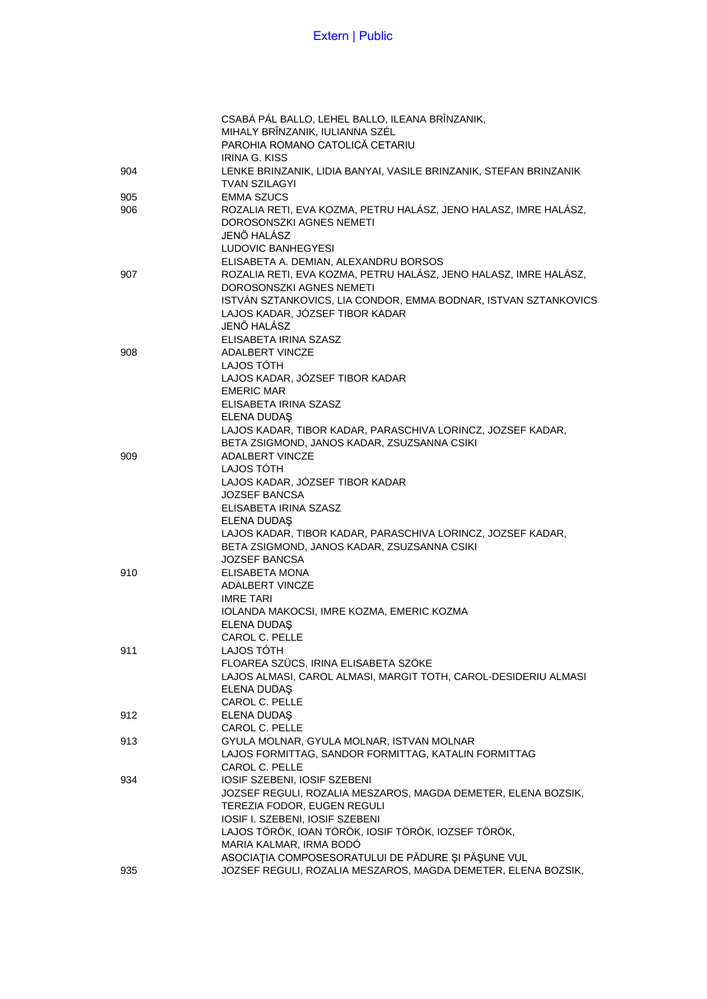|     | CSABÁ PÁL BALLO, LEHEL BALLO, ILEANA BRÎNZANIK,                   |
|-----|-------------------------------------------------------------------|
|     | MIHALY BRÎNZANIK, IULIANNA SZÉL                                   |
|     | PAROHIA ROMANO CATOLICĂ CETARIU                                   |
|     | IRINA G. KISS                                                     |
| 904 | LENKE BRINZANIK, LIDIA BANYAI, VASILE BRINZANIK, STEFAN BRINZANIK |
|     | <b>TVAN SZILAGYI</b>                                              |
| 905 | <b>EMMA SZUCS</b>                                                 |
| 906 | ROZALIA RETI, EVA KOZMA, PETRU HALÁSZ, JENO HALASZ, IMRE HALÁSZ,  |
|     | DOROSONSZKI AGNES NEMETI                                          |
|     | JENŐ HALÁSZ                                                       |
|     |                                                                   |
|     | LUDOVIC BANHEGYESI                                                |
|     | ELISABETA A. DEMIAN, ALEXANDRU BORSOS                             |
| 907 | ROZALIA RETI, EVA KOZMA, PETRU HALÁSZ, JENO HALASZ, IMRE HALÁSZ,  |
|     | DOROSONSZKI AGNES NEMETI                                          |
|     | ISTVÁN SZTANKOVICS, LIA CONDOR, EMMA BODNAR, ISTVAN SZTANKOVICS   |
|     | LAJOS KADAR, JÓZSEF TIBOR KADAR                                   |
|     | JENŐ HALÁSZ                                                       |
|     | ELISABETA IRINA SZASZ                                             |
| 908 | ADALBERT VINCZE                                                   |
|     | LAJOS TÓTH                                                        |
|     | LAJOS KADAR, JÓZSEF TIBOR KADAR                                   |
|     | <b>EMERIC MAR</b>                                                 |
|     | ELISABETA IRINA SZASZ                                             |
|     | ELENA DUDAŞ                                                       |
|     | LAJOS KADAR, TIBOR KADAR, PARASCHIVA LORINCZ, JOZSEF KADAR,       |
|     | BETA ZSIGMOND, JANOS KADAR, ZSUZSANNA CSIKI                       |
| 909 | <b>ADALBERT VINCZE</b>                                            |
|     | LAJOS TÓTH                                                        |
|     | LAJOS KADAR, JÓZSEF TIBOR KADAR                                   |
|     |                                                                   |
|     | JOZSEF BANCSA                                                     |
|     | ELISABETA IRINA SZASZ                                             |
|     | ELENA DUDAŞ                                                       |
|     | LAJOS KADAR, TIBOR KADAR, PARASCHIVA LORINCZ, JOZSEF KADAR,       |
|     | BETA ZSIGMOND, JANOS KADAR, ZSUZSANNA CSIKI                       |
|     | <b>JOZSEF BANCSA</b>                                              |
| 910 | ELISABETA MONA                                                    |
|     | ADALBERT VINCZE                                                   |
|     | <b>IMRE TARI</b>                                                  |
|     | IOLANDA MAKOCSI, IMRE KOZMA, EMERIC KOZMA                         |
|     | <b>ELENA DUDAS</b>                                                |
|     | CAROL C. PELLE                                                    |
| 911 | LAJOS TOTH                                                        |
|     | FLOAREA SZÜCS, IRINA ELISABETA SZÖKE                              |
|     | LAJOS ALMASI, CAROL ALMASI, MARGIT TOTH, CAROL-DESIDERIU ALMASI   |
|     | ELENA DUDAŞ                                                       |
|     | CAROL C. PELLE                                                    |
| 912 | ELENA DUDAŞ                                                       |
|     | CAROL C. PELLE                                                    |
| 913 | GYULA MOLNAR, GYULA MOLNAR, ISTVAN MOLNAR                         |
|     | LAJOS FORMITTAG, SANDOR FORMITTAG, KATALIN FORMITTAG              |
|     | CAROL C. PELLE                                                    |
|     |                                                                   |
| 934 | IOSIF SZEBENI, IOSIF SZEBENI                                      |
|     | JOZSEF REGULI, ROZALIA MESZAROS, MAGDA DEMETER, ELENA BOZSIK,     |
|     | TEREZIA FODOR, EUGEN REGULI                                       |
|     | IOSIF I. SZEBENI, IOSIF SZEBENI                                   |
|     | LAJOS TÖRÖK, IOAN TÖRÖK, IOSIF TÖRÖK, IOZSEF TÖRÖK,               |
|     | MARIA KALMAR, IRMA BODÓ                                           |
|     | ASOCIAȚIA COMPOSESORATULUI DE PĂDURE ȘI PĂȘUNE VUL                |
| 935 | JOZSEF REGULI, ROZALIA MESZAROS, MAGDA DEMETER, ELENA BOZSIK,     |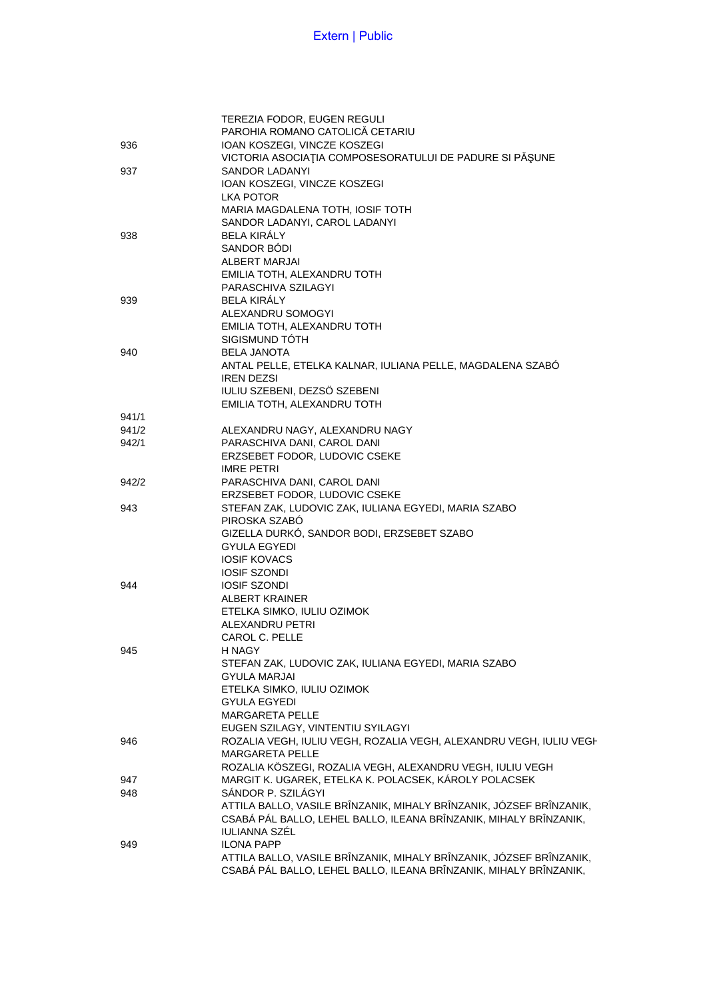|       | TEREZIA FODOR, EUGEN REGULI                                         |
|-------|---------------------------------------------------------------------|
|       | PAROHIA ROMANO CATOLICĂ CETARIU                                     |
| 936   | IOAN KOSZEGI, VINCZE KOSZEGI                                        |
|       | VICTORIA ASOCIAȚIA COMPOSESORATULUI DE PADURE SI PĂȘUNE             |
| 937   | SANDOR LADANYI                                                      |
|       | IOAN KOSZEGI, VINCZE KOSZEGI                                        |
|       | LKA POTOR                                                           |
|       | MARIA MAGDALENA TOTH, IOSIF TOTH                                    |
|       |                                                                     |
|       | SANDOR LADANYI, CAROL LADANYI<br><b>BELA KIRÁLY</b>                 |
| 938   |                                                                     |
|       | SANDOR BODI                                                         |
|       | ALBERT MARJAI                                                       |
|       | EMILIA TOTH. ALEXANDRU TOTH                                         |
|       | PARASCHIVA SZILAGYI                                                 |
| 939   | <b>BELA KIRALY</b>                                                  |
|       | ALEXANDRU SOMOGYI                                                   |
|       | EMILIA TOTH, ALEXANDRU TOTH                                         |
|       | SIGISMUND TOTH                                                      |
| 940   | <b>BELA JANOTA</b>                                                  |
|       | ANTAL PELLE, ETELKA KALNAR, IULIANA PELLE, MAGDALENA SZABÓ          |
|       | <b>IREN DEZSI</b>                                                   |
|       | IULIU SZEBENI, DEZSÖ SZEBENI                                        |
|       | EMILIA TOTH, ALEXANDRU TOTH                                         |
| 941/1 |                                                                     |
| 941/2 | ALEXANDRU NAGY, ALEXANDRU NAGY                                      |
| 942/1 | PARASCHIVA DANI, CAROL DANI                                         |
|       |                                                                     |
|       | ERZSEBET FODOR, LUDOVIC CSEKE                                       |
|       | <b>IMRE PETRI</b>                                                   |
| 942/2 | PARASCHIVA DANI, CAROL DANI                                         |
|       | ERZSEBET FODOR, LUDOVIC CSEKE                                       |
| 943   | STEFAN ZAK, LUDOVIC ZAK, IULIANA EGYEDI, MARIA SZABO                |
|       | PIROSKA SZABÓ                                                       |
|       | GIZELLA DURKÓ, SANDOR BODI, ERZSEBET SZABO                          |
|       | <b>GYULA EGYEDI</b>                                                 |
|       | <b>IOSIF KOVACS</b>                                                 |
|       | <b>IOSIF SZONDI</b>                                                 |
| 944   | <b>IOSIF SZONDI</b>                                                 |
|       | <b>ALBERT KRAINER</b>                                               |
|       | ETELKA SIMKO, IULIU OZIMOK                                          |
|       | ALEXANDRU PETRI                                                     |
|       | CAROL C. PELLE                                                      |
| 945   | H NAGY                                                              |
|       | STEFAN ZAK, LUDOVIC ZAK, IULIANA EGYEDI, MARIA SZABO                |
|       | <b>GYULA MARJAI</b>                                                 |
|       | ETELKA SIMKO, IULIU OZIMOK                                          |
|       | <b>GYULA EGYEDI</b>                                                 |
|       | <b>MARGARETA PELLE</b>                                              |
|       |                                                                     |
|       | EUGEN SZILAGY, VINTENTIU SYILAGYI                                   |
| 946   | ROZALIA VEGH, IULIU VEGH, ROZALIA VEGH, ALEXANDRU VEGH, IULIU VEGH  |
|       | <b>MARGARETA PELLE</b>                                              |
|       | ROZALIA KÖSZEGI, ROZALIA VEGH, ALEXANDRU VEGH, IULIU VEGH           |
| 947   | MARGIT K. UGAREK, ETELKA K. POLACSEK, KÁROLY POLACSEK               |
| 948   | SÁNDOR P. SZILÁGYI                                                  |
|       | ATTILA BALLO, VASILE BRÎNZANIK, MIHALY BRÎNZANIK, JÓZSEF BRÎNZANIK, |
|       | CSABÁ PÁL BALLO, LEHEL BALLO, ILEANA BRÎNZANIK, MIHALY BRÎNZANIK,   |
|       | <b>IULIANNA SZÉL</b>                                                |
| 949   | <b>ILONA PAPP</b>                                                   |
|       | ATTILA BALLO, VASILE BRÎNZANIK, MIHALY BRÎNZANIK, JÓZSEF BRÎNZANIK, |
|       | CSABÁ PÁL BALLO, LEHEL BALLO, ILEANA BRÎNZANIK, MIHALY BRÎNZANIK,   |
|       |                                                                     |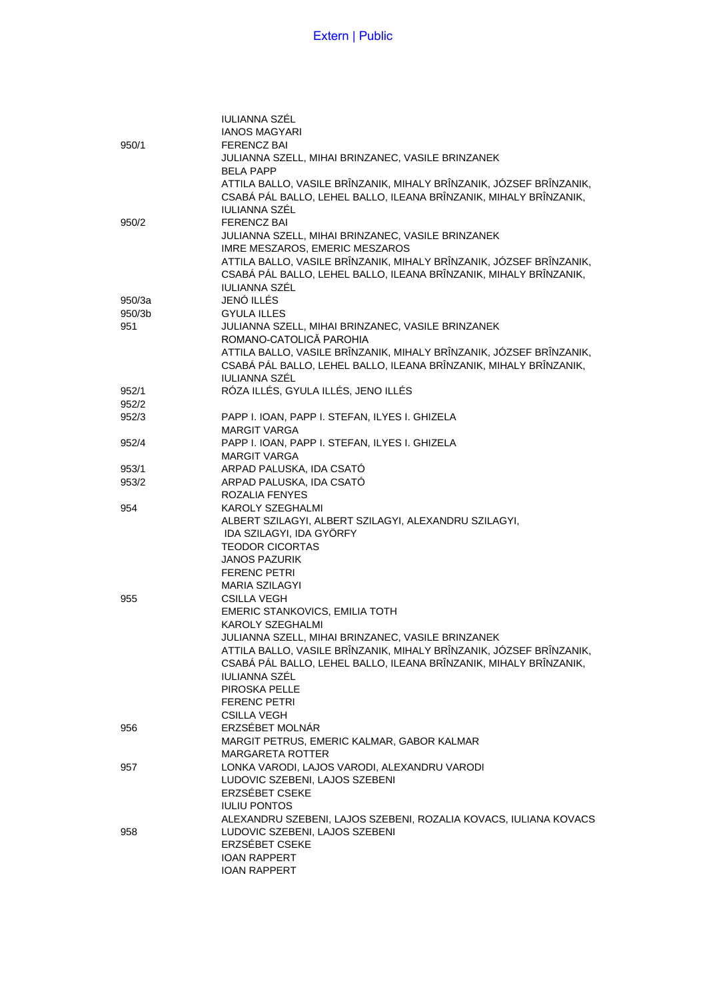|        | IULIANNA SZÉL                                                       |
|--------|---------------------------------------------------------------------|
|        | <b>IANOS MAGYARI</b>                                                |
| 950/1  | <b>FERENCZ BAI</b>                                                  |
|        | JULIANNA SZELL, MIHAI BRINZANEC, VASILE BRINZANEK                   |
|        | <b>BELA PAPP</b>                                                    |
|        | ATTILA BALLO, VASILE BRÎNZANIK, MIHALY BRÎNZANIK, JÓZSEF BRÎNZANIK, |
|        | CSABÁ PÁL BALLO, LEHEL BALLO, ILEANA BRÎNZANIK, MIHALY BRÎNZANIK,   |
|        | IULIANNA SZÉL                                                       |
|        | <b>FERENCZ BAI</b>                                                  |
| 950/2  | JULIANNA SZELL, MIHAI BRINZANEC, VASILE BRINZANEK                   |
|        |                                                                     |
|        | IMRE MESZAROS, EMERIC MESZAROS                                      |
|        | ATTILA BALLO, VASILE BRÎNZANIK, MIHALY BRÎNZANIK, JÓZSEF BRÎNZANIK, |
|        | CSABÁ PÁL BALLO, LEHEL BALLO, ILEANA BRÎNZANIK, MIHALY BRÎNZANIK,   |
|        | <b>IULIANNA SZÉL</b>                                                |
| 950/3a | JENÓ ILLÉS                                                          |
| 950/3b | <b>GYULA ILLES</b>                                                  |
| 951    | JULIANNA SZELL, MIHAI BRINZANEC, VASILE BRINZANEK                   |
|        | ROMANO-CATOLICĂ PAROHIA                                             |
|        | ATTILA BALLO, VASILE BRÎNZANIK, MIHALY BRÎNZANIK, JÓZSEF BRÎNZANIK, |
|        | CSABÁ PÁL BALLO, LEHEL BALLO, ILEANA BRÎNZANIK, MIHALY BRÎNZANIK,   |
|        | IULIANNA SZÉL                                                       |
| 952/1  | RÓZA ILLÉS, GYULA ILLÉS, JENO ILLÉS                                 |
| 952/2  |                                                                     |
| 952/3  | PAPP I. IOAN, PAPP I. STEFAN, ILYES I. GHIZELA                      |
|        | <b>MARGIT VARGA</b>                                                 |
| 952/4  | PAPP I. IOAN, PAPP I. STEFAN, ILYES I. GHIZELA                      |
|        | <b>MARGIT VARGA</b>                                                 |
| 953/1  | ARPAD PALUSKA, IDA CSATÓ                                            |
| 953/2  | ARPAD PALUSKA, IDA CSATÓ                                            |
|        | ROZALIA FENYES                                                      |
| 954    | KAROLY SZEGHALMI                                                    |
|        | ALBERT SZILAGYI, ALBERT SZILAGYI, ALEXANDRU SZILAGYI,               |
|        | IDA SZILAGYI, IDA GYÖRFY                                            |
|        | <b>TEODOR CICORTAS</b>                                              |
|        | <b>JANOS PAZURIK</b>                                                |
|        | <b>FERENC PETRI</b>                                                 |
|        | <b>MARIA SZILAGYI</b>                                               |
| 955    | <b>CSILLA VEGH</b>                                                  |
|        | EMERIC STANKOVICS, EMILIA TOTH                                      |
|        | <b>KAROLY SZEGHALMI</b>                                             |
|        | JULIANNA SZELL, MIHAI BRINZANEC, VASILE BRINZANEK                   |
|        | ATTILA BALLO, VASILE BRÎNZANIK, MIHALY BRÎNZANIK, JÓZSEF BRÎNZANIK, |
|        | CSABÁ PÁL BALLO, LEHEL BALLO, ILEANA BRÎNZANIK, MIHALY BRÎNZANIK,   |
|        | <b>IULIANNA SZÉL</b>                                                |
|        | PIROSKA PELLE                                                       |
|        | <b>FERENC PETRI</b>                                                 |
|        | <b>CSILLA VEGH</b>                                                  |
| 956    | ERZSÉBET MOLNÁR                                                     |
|        | MARGIT PETRUS, EMERIC KALMAR, GABOR KALMAR                          |
|        | <b>MARGARETA ROTTER</b>                                             |
| 957    | LONKA VARODI, LAJOS VARODI, ALEXANDRU VARODI                        |
|        | LUDOVIC SZEBENI, LAJOS SZEBENI                                      |
|        | ERZSÉBET CSEKE                                                      |
|        | <b>IULIU PONTOS</b>                                                 |
|        | ALEXANDRU SZEBENI, LAJOS SZEBENI, ROZALIA KOVACS, IULIANA KOVACS    |
| 958    | LUDOVIC SZEBENI, LAJOS SZEBENI                                      |
|        | ERZSÉBET CSEKE                                                      |
|        | <b>IOAN RAPPERT</b>                                                 |
|        | <b>IOAN RAPPERT</b>                                                 |
|        |                                                                     |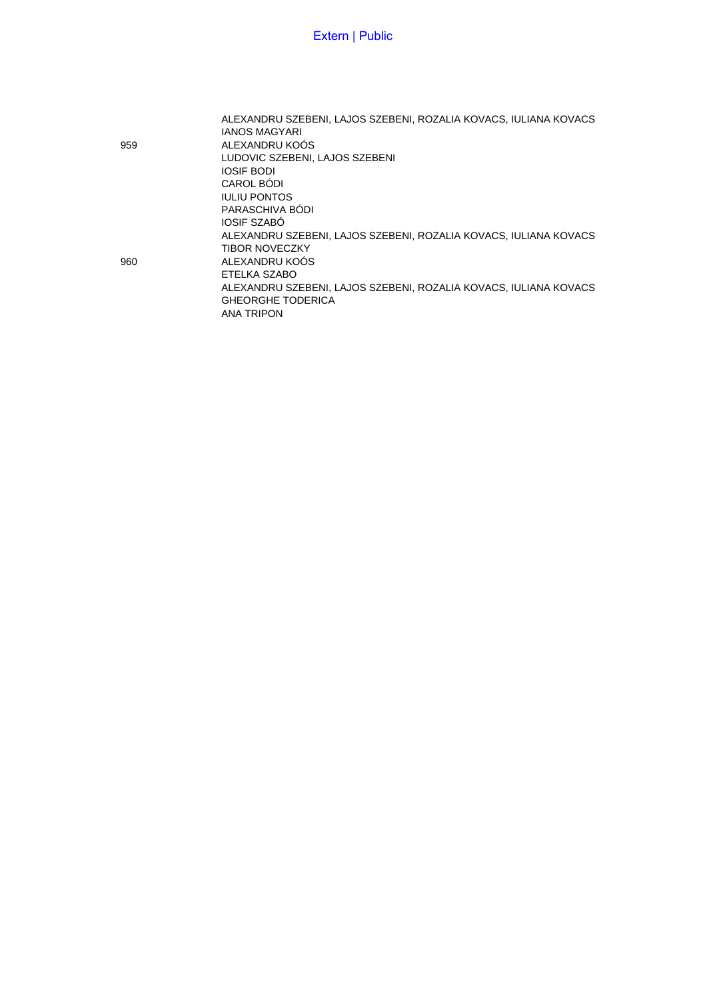ALEXANDRU SZEBENI, LAJOS SZEBENI, ROZALIA KOVACS, IULIANA KOVACS IANOS MAGYARI 959 ALEXANDRU KOÓS LUDOVIC SZEBENI, LAJOS SZEBENI IOSIF BODI CAROL BÓDI IULIU PONTOS PARASCHIVA BÓDI IOSIF SZABÓ ALEXANDRU SZEBENI, LAJOS SZEBENI, ROZALIA KOVACS, IULIANA KOVACS TIBOR NOVECZKY 960 ALEXANDRU KOÓS ETELKA SZABO ALEXANDRU SZEBENI, LAJOS SZEBENI, ROZALIA KOVACS, IULIANA KOVACS GHEORGHE TODERICA ANA TRIPON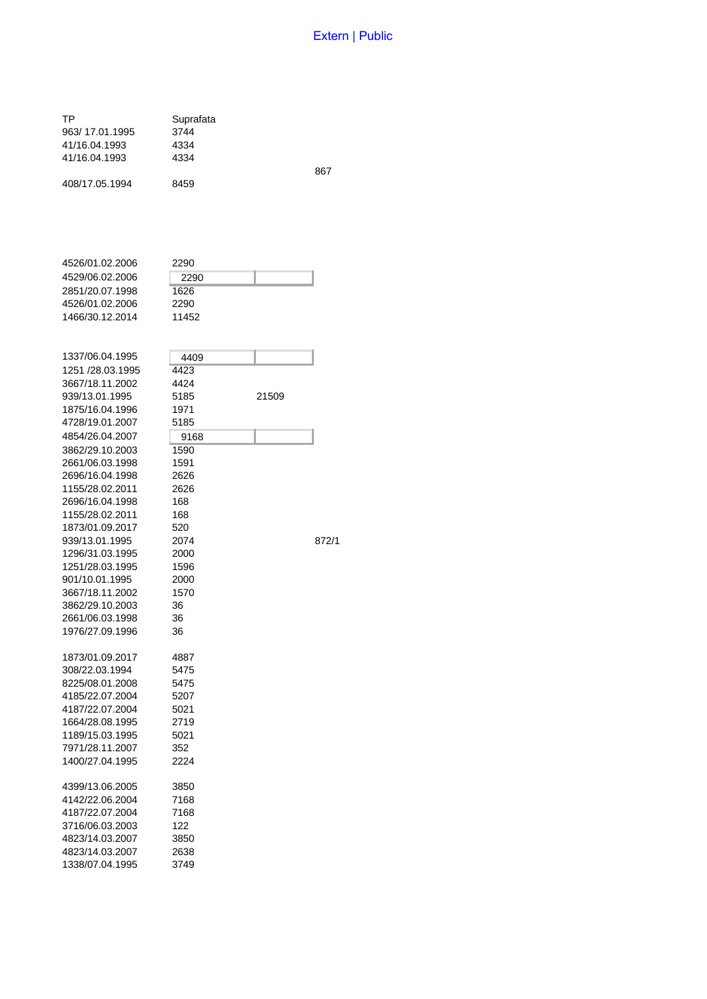867

872/1

| ТP<br>963/17.01.1995<br>41/16.04.1993<br>41/16.04.1993                                      | Suprafata<br>3744<br>4334<br>4334     |       |
|---------------------------------------------------------------------------------------------|---------------------------------------|-------|
| 408/17.05.1994                                                                              | 8459                                  |       |
| 4526/01.02.2006<br>4529/06.02.2006<br>2851/20.07.1998<br>4526/01.02.2006<br>1466/30.12.2014 | 2290<br>2290<br>1626<br>2290<br>11452 |       |
| 1337/06.04.1995<br>1251 /28.03.1995<br>3667/18.11.2002<br>939/13.01.1995<br>1875/16.04.1996 | 4409<br>4423<br>4424<br>5185<br>1971  | 21509 |
| 4728/19.01.2007<br>4854/26.04.2007<br>3862/29.10.2003<br>2661/06.03.1998<br>2696/16.04.1998 | 5185<br>9168<br>1590<br>1591<br>2626  |       |
| 1155/28.02.2011<br>2696/16.04.1998<br>1155/28.02.2011<br>1873/01.09.2017<br>939/13.01.1995  | 2626<br>168<br>168<br>520<br>2074     |       |
| 1296/31.03.1995<br>1251/28.03.1995<br>901/10.01.1995<br>3667/18.11.2002<br>3862/29.10.2003  | 2000<br>1596<br>2000<br>1570<br>36    |       |
| 2661/06.03.1998<br>1976/27.09.1996<br>1873/01.09.2017<br>308/22.03.1994                     | 36<br>36<br>4887<br>5475              |       |
| 8225/08.01.2008<br>4185/22.07.2004<br>4187/22.07.2004<br>1664/28.08.1995                    | 5475<br>5207<br>5021<br>2719          |       |
| 1189/15.03.1995<br>7971/28.11.2007<br>1400/27.04.1995<br>4399/13.06.2005                    | 5021<br>352<br>2224<br>3850           |       |
| 4142/22.06.2004<br>4187/22.07.2004<br>3716/06.03.2003<br>4823/14.03.2007                    | 7168<br>7168<br>122<br>3850           |       |
| 4823/14.03.2007<br>1338/07.04.1995                                                          | 2638<br>3749                          |       |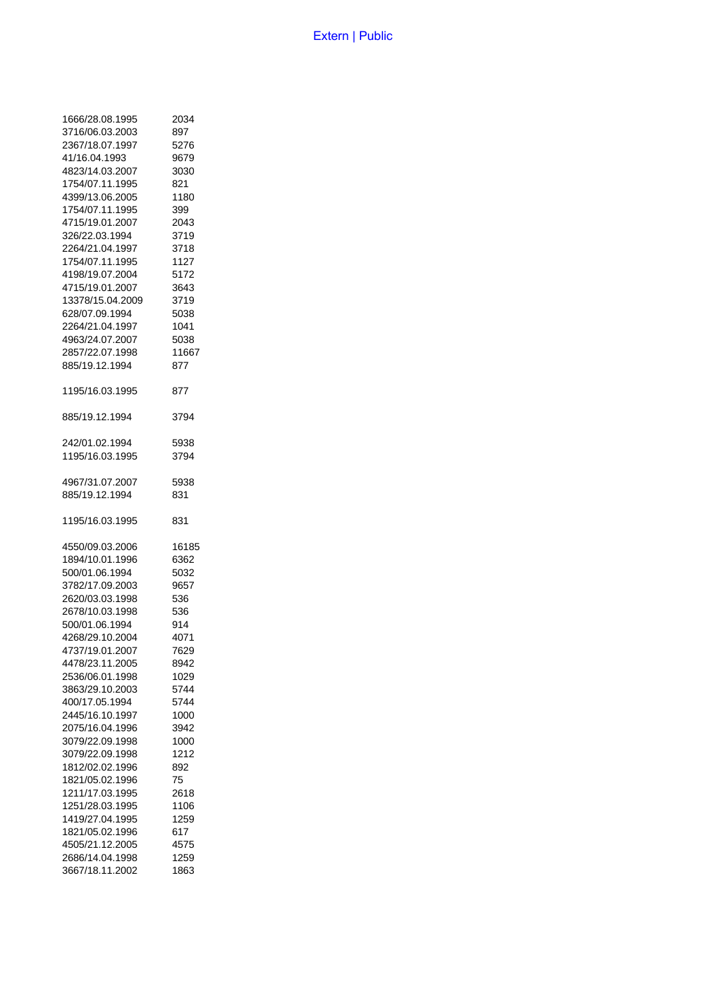| 1666/28.08.1995  | 2034  |
|------------------|-------|
| 3716/06.03.2003  | 897   |
| 2367/18.07.1997  | 5276  |
| 41/16.04.1993    | 9679  |
| 4823/14.03.2007  | 3030  |
| 1754/07.11.1995  | 821   |
| 4399/13.06.2005  | 1180  |
| 1754/07.11.1995  | 399   |
| 4715/19.01.2007  | 2043  |
| 326/22.03.1994   | 3719  |
| 2264/21.04.1997  | 3718  |
| 1754/07.11.1995  | 1127  |
| 4198/19.07.2004  | 5172  |
| 4715/19.01.2007  | 3643  |
| 13378/15.04.2009 | 3719  |
| 628/07.09.1994   | 5038  |
| 2264/21.04.1997  | 1041  |
| 4963/24.07.2007  | 5038  |
| 2857/22.07.1998  | 11667 |
| 885/19.12.1994   | 877   |
| 1195/16.03.1995  | 877   |
| 885/19.12.1994   | 3794  |
| 242/01.02.1994   | 5938  |
| 1195/16.03.1995  | 3794  |
| 4967/31.07.2007  | 5938  |
| 885/19.12.1994   | 831   |
| 1195/16.03.1995  | 831   |
| 4550/09.03.2006  | 16185 |
| 1894/10.01.1996  | 6362  |
| 500/01.06.1994   | 5032  |
| 3782/17.09.2003  | 9657  |
| 2620/03.03.1998  | 536   |
| 2678/10.03.1998  | 536   |
| 500/01.06.1994   | 914   |
| 4268/29.10.2004  | 4071  |
| 4737/19.01.2007  | 7629  |
| 4478/23.11.2005  | 8942  |
| 2536/06.01.1998  | 1029  |
| 3863/29.10.2003  | 5744  |
| 400/17.05.1994   | 5744  |
| 2445/16.10.1997  | 1000  |
| 2075/16.04.1996  | 3942  |
| 3079/22.09.1998  | 1000  |
| 3079/22.09.1998  | 1212  |
| 1812/02.02.1996  | 892   |
| 1821/05.02.1996  | 75    |
| 1211/17.03.1995  | 2618  |
| 1251/28.03.1995  | 1106  |
| 1419/27.04.1995  | 1259  |
| 1821/05.02.1996  | 617   |
| 4505/21.12.2005  | 4575  |
| 2686/14.04.1998  | 1259  |
| 3667/18.11.2002  | 1863  |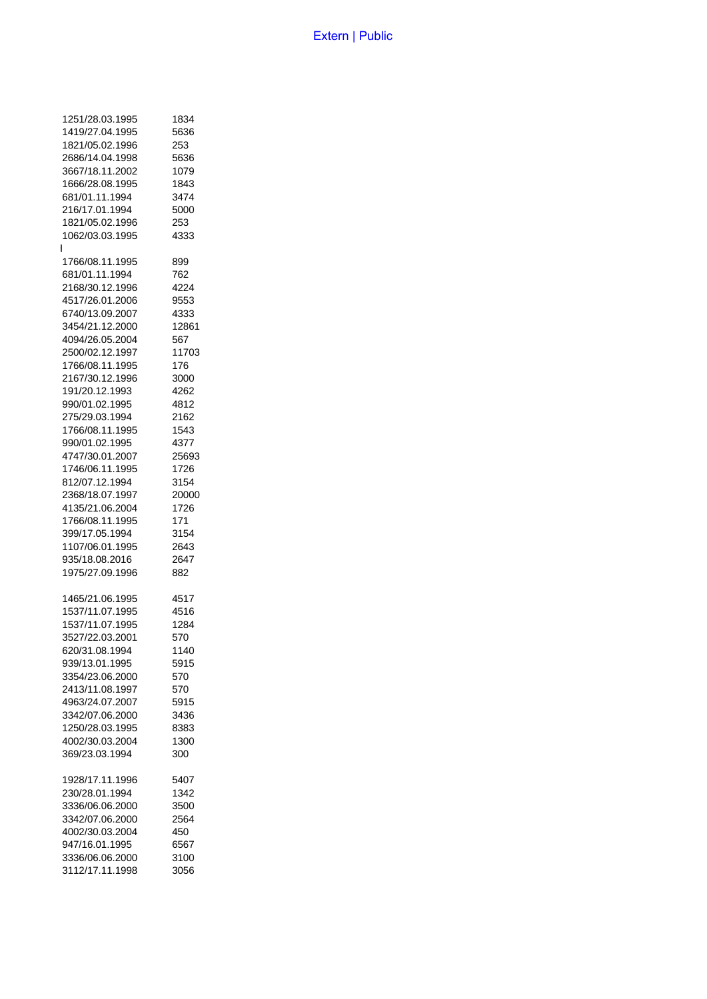|              | 1251/28.03.1995 | 1834  |
|--------------|-----------------|-------|
|              | 1419/27.04.1995 | 5636  |
|              |                 |       |
|              | 1821/05.02.1996 | 253   |
|              | 2686/14.04.1998 | 5636  |
|              | 3667/18.11.2002 | 1079  |
|              | 1666/28.08.1995 | 1843  |
|              | 681/01.11.1994  | 3474  |
|              | 216/17.01.1994  | 5000  |
|              | 1821/05.02.1996 |       |
|              |                 | 253   |
|              | 1062/03.03.1995 | 4333  |
| $\mathbf{I}$ |                 |       |
|              | 1766/08.11.1995 | 899   |
|              | 681/01.11.1994  | 762   |
|              | 2168/30.12.1996 | 4224  |
|              | 4517/26.01.2006 | 9553  |
|              |                 | 4333  |
|              | 6740/13.09.2007 |       |
|              | 3454/21.12.2000 | 12861 |
|              | 4094/26.05.2004 | 567   |
|              | 2500/02.12.1997 | 11703 |
|              | 1766/08.11.1995 | 176   |
|              | 2167/30.12.1996 | 3000  |
|              | 191/20.12.1993  | 4262  |
|              | 990/01.02.1995  | 4812  |
|              |                 |       |
|              | 275/29.03.1994  | 2162  |
|              | 1766/08.11.1995 | 1543  |
|              | 990/01.02.1995  | 4377  |
|              | 4747/30.01.2007 | 25693 |
|              | 1746/06.11.1995 | 1726  |
|              | 812/07.12.1994  | 3154  |
|              |                 |       |
|              | 2368/18.07.1997 | 20000 |
|              | 4135/21.06.2004 | 1726  |
|              | 1766/08.11.1995 | 171   |
|              | 399/17.05.1994  | 3154  |
|              | 1107/06.01.1995 | 2643  |
|              | 935/18.08.2016  | 2647  |
|              | 1975/27.09.1996 | 882   |
|              |                 |       |
|              | 1465/21.06.1995 | 4517  |
|              | 1537/11.07.1995 | 4516  |
|              | 1537/11.07.1995 | 1284  |
|              | 3527/22.03.2001 | 570   |
|              | 620/31.08.1994  | 1140  |
|              |                 |       |
|              | 939/13.01.1995  | 5915  |
|              | 3354/23.06.2000 | 570   |
|              | 2413/11.08.1997 | 570   |
|              | 4963/24.07.2007 | 5915  |
|              | 3342/07.06.2000 | 3436  |
|              | 1250/28.03.1995 | 8383  |
|              | 4002/30.03.2004 | 1300  |
|              | 369/23.03.1994  | 300   |
|              |                 |       |
|              | 1928/17.11.1996 | 5407  |
|              | 230/28.01.1994  | 1342  |
|              | 3336/06.06.2000 | 3500  |
|              |                 | 2564  |
|              | 3342/07.06.2000 |       |
|              | 4002/30.03.2004 | 450   |
|              | 947/16.01.1995  | 6567  |
|              | 3336/06.06.2000 | 3100  |
|              | 3112/17.11.1998 | 3056  |
|              |                 |       |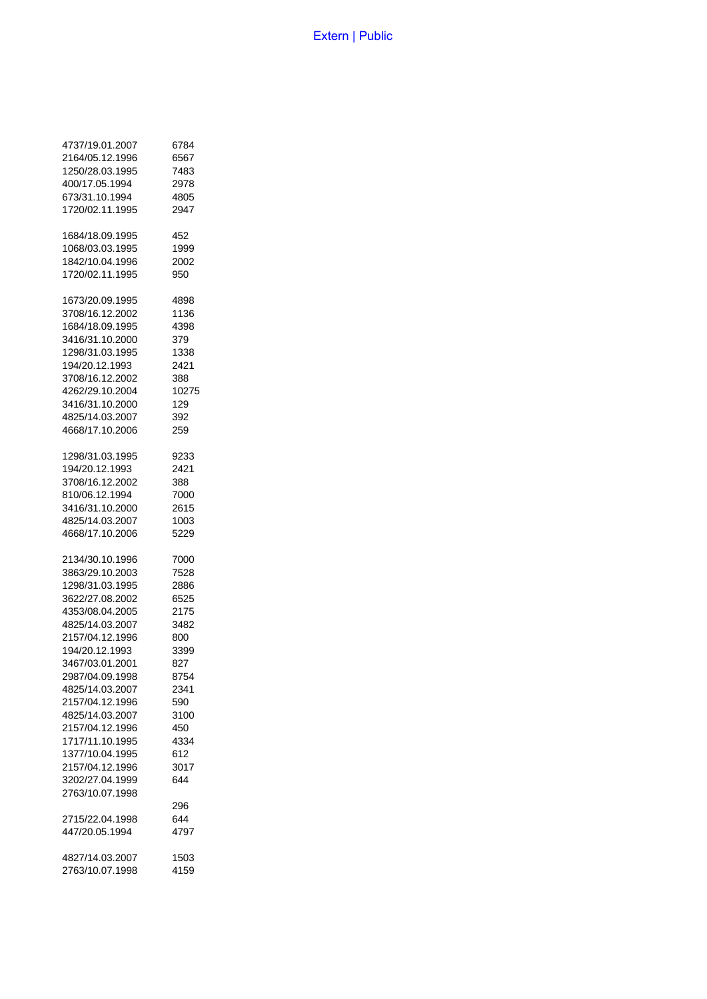| 4737/19.01.2007 | 6784  |
|-----------------|-------|
| 2164/05.12.1996 | 6567  |
| 1250/28.03.1995 | 7483  |
| 400/17.05.1994  | 2978  |
| 673/31.10.1994  | 4805  |
| 1720/02.11.1995 | 2947  |
| 1684/18.09.1995 | 452   |
| 1068/03.03.1995 | 1999  |
| 1842/10.04.1996 | 2002  |
| 1720/02.11.1995 | 950   |
| 1673/20.09.1995 | 4898  |
| 3708/16.12.2002 | 1136  |
| 1684/18.09.1995 | 4398  |
| 3416/31.10.2000 | 379   |
| 1298/31.03.1995 | 1338  |
| 194/20.12.1993  | 2421  |
| 3708/16.12.2002 | 388   |
| 4262/29.10.2004 | 10275 |
| 3416/31.10.2000 | 129   |
| 4825/14.03.2007 | 392   |
| 4668/17.10.2006 | 259   |
| 1298/31.03.1995 | 9233  |
| 194/20.12.1993  | 2421  |
| 3708/16.12.2002 | 388   |
| 810/06.12.1994  | 7000  |
| 3416/31.10.2000 | 2615  |
| 4825/14.03.2007 | 1003  |
| 4668/17.10.2006 | 5229  |
| 2134/30.10.1996 | 7000  |
| 3863/29.10.2003 | 7528  |
| 1298/31.03.1995 | 2886  |
| 3622/27.08.2002 | 6525  |
| 4353/08.04.2005 | 2175  |
| 4825/14.03.2007 | 3482  |
| 2157/04.12.1996 | 800   |
| 194/20.12.1993  | 3399  |
| 3467/03.01.2001 | 827   |
| 2987/04.09.1998 | 8754  |
| 4825/14.03.2007 | 2341  |
| 2157/04.12.1996 | 590   |
| 4825/14.03.2007 | 3100  |
| 2157/04.12.1996 | 450   |
| 1717/11.10.1995 | 4334  |
| 1377/10.04.1995 | 612   |
| 2157/04.12.1996 | 3017  |
| 3202/27.04.1999 | 644   |
| 2763/10.07.1998 | 296   |
| 2715/22.04.1998 | 644   |
| 447/20.05.1994  | 4797  |
| 4827/14.03.2007 | 1503  |
| 2763/10.07.1998 | 4159  |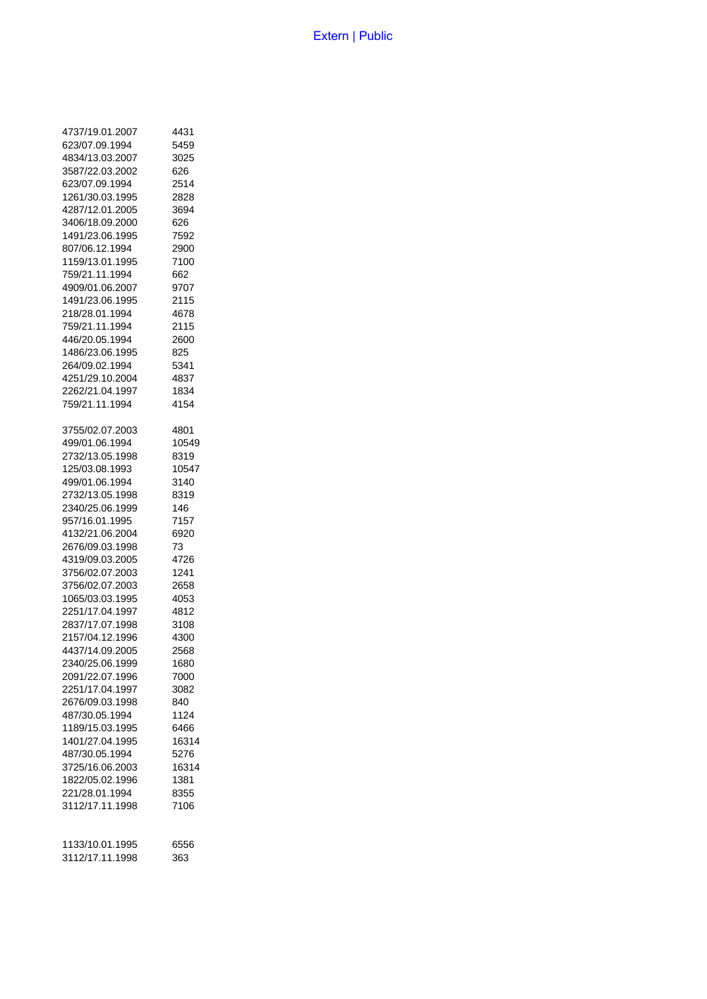| 4737/19.01.2007 | 4431  |
|-----------------|-------|
| 623/07.09.1994  | 5459  |
| 4834/13.03.2007 | 3025  |
| 3587/22.03.2002 | 626   |
| 623/07.09.1994  | 2514  |
| 1261/30.03.1995 | 2828  |
| 4287/12.01.2005 | 3694  |
| 3406/18.09.2000 | 626   |
| 1491/23.06.1995 | 7592  |
| 807/06.12.1994  | 2900  |
| 1159/13.01.1995 | 7100  |
| 759/21.11.1994  | 662   |
| 4909/01.06.2007 | 9707  |
| 1491/23.06.1995 | 2115  |
| 218/28.01.1994  | 4678  |
| 759/21.11.1994  | 2115  |
| 446/20.05.1994  | 2600  |
| 1486/23.06.1995 | 825   |
| 264/09.02.1994  | 5341  |
| 4251/29.10.2004 | 4837  |
| 2262/21.04.1997 | 1834  |
| 759/21.11.1994  | 4154  |
| 3755/02.07.2003 | 4801  |
| 499/01.06.1994  | 10549 |
| 2732/13.05.1998 | 8319  |
| 125/03.08.1993  | 10547 |
| 499/01.06.1994  | 3140  |
| 2732/13.05.1998 | 8319  |
| 2340/25.06.1999 | 146   |
| 957/16.01.1995  | 7157  |
| 4132/21.06.2004 | 6920  |
| 2676/09.03.1998 | 73    |
| 4319/09.03.2005 | 4726  |
| 3756/02.07.2003 | 1241  |
| 3756/02.07.2003 | 2658  |
| 1065/03.03.1995 | 4053  |
| 2251/17.04.1997 | 4812  |
| 2837/17.07.1998 | 3108  |
| 2157/04.12.1996 | 4300  |
| 4437/14.09.2005 | 2568  |
| 2340/25.06.1999 | 1680  |
| 2091/22.07.1996 | 7000  |
| 2251/17.04.1997 | 3082  |
| 2676/09.03.1998 | 840   |
| 487/30.05.1994  | 1124  |
| 1189/15.03.1995 | 6466  |
| 1401/27.04.1995 | 16314 |
| 487/30.05.1994  | 5276  |
| 3725/16.06.2003 | 16314 |
| 1822/05.02.1996 | 1381  |
| 221/28.01.1994  | 8355  |
| 3112/17.11.1998 | 7106  |
| 1133/10.01.1995 | 6556  |
| 3112/17.11.1998 | 363   |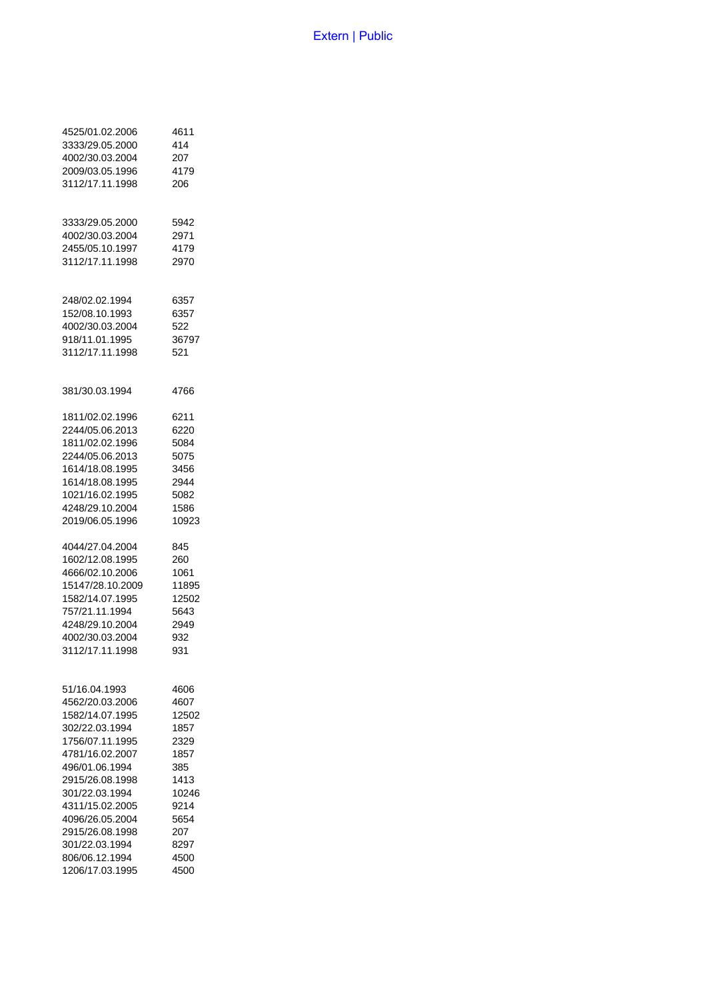| 4525/01.02.2006  | 4611  |
|------------------|-------|
| 3333/29.05.2000  | 414   |
| 4002/30.03.2004  | 207   |
| 2009/03.05.1996  | 4179  |
| 3112/17.11.1998  | 206   |
| 3333/29.05.2000  | 5942  |
| 4002/30.03.2004  | 2971  |
| 2455/05.10.1997  | 4179  |
| 3112/17.11.1998  | 2970  |
| 248/02.02.1994   | 6357  |
| 152/08.10.1993   | 6357  |
| 4002/30.03.2004  | 522   |
| 918/11.01.1995   | 36797 |
| 3112/17.11.1998  | 521   |
| 381/30.03.1994   | 4766  |
| 1811/02.02.1996  | 6211  |
| 2244/05.06.2013  | 6220  |
| 1811/02.02.1996  | 5084  |
| 2244/05.06.2013  | 5075  |
| 1614/18.08.1995  | 3456  |
| 1614/18.08.1995  | 2944  |
| 1021/16.02.1995  | 5082  |
| 4248/29.10.2004  | 1586  |
| 2019/06.05.1996  | 10923 |
| 4044/27.04.2004  | 845   |
| 1602/12.08.1995  | 260   |
| 4666/02.10.2006  | 1061  |
| 15147/28.10.2009 | 11895 |
| 1582/14.07.1995  | 12502 |
| 757/21.11.1994   | 5643  |
| 4248/29.10.2004  | 2949  |
| 4002/30.03.2004  | 932   |
| 3112/17.11.1998  | 931   |
| 51/16.04.1993    | 4606  |
| 4562/20.03.2006  | 4607  |
| 1582/14.07.1995  | 12502 |
| 302/22.03.1994   | 1857  |
| 1756/07.11.1995  | 2329  |
| 4781/16.02.2007  | 1857  |
| 496/01.06.1994   | 385   |
| 2915/26.08.1998  | 1413  |
| 301/22.03.1994   | 10246 |
| 4311/15.02.2005  | 9214  |
| 4096/26.05.2004  | 5654  |
| 2915/26.08.1998  | 207   |
| 301/22.03.1994   | 8297  |
| 806/06.12.1994   | 4500  |
| 1206/17.03.1995  | 4500  |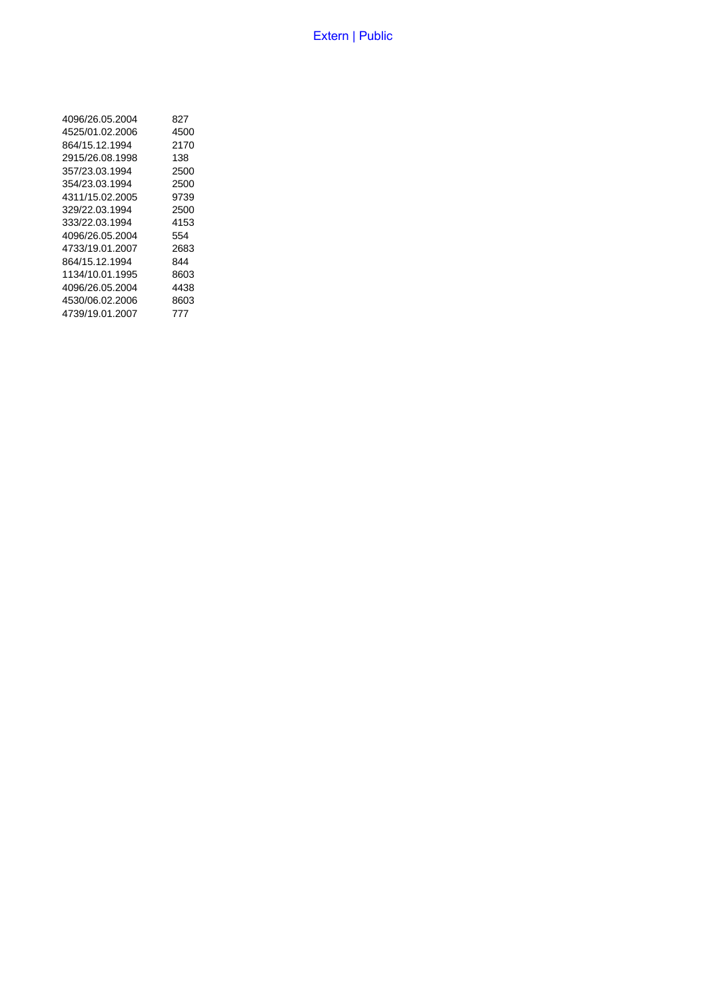| 4096/26.05.2004 | 827  |
|-----------------|------|
| 4525/01.02.2006 | 4500 |
| 864/15.12.1994  | 2170 |
| 2915/26.08.1998 | 138  |
| 357/23.03.1994  | 2500 |
| 354/23.03.1994  | 2500 |
| 4311/15.02.2005 | 9739 |
| 329/22.03.1994  | 2500 |
| 333/22.03.1994  | 4153 |
| 4096/26.05.2004 | 554  |
| 4733/19.01.2007 | 2683 |
| 864/15.12.1994  | 844  |
| 1134/10.01.1995 | 8603 |
| 4096/26.05.2004 | 4438 |
| 4530/06.02.2006 | 8603 |
| 4739/19.01.2007 | 777  |
|                 |      |